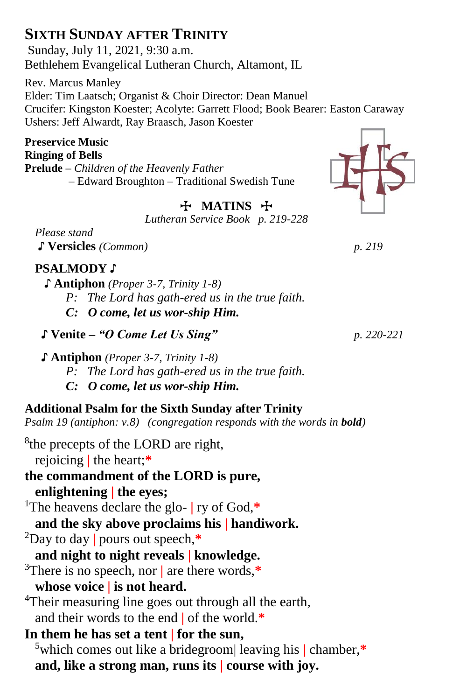# **SIXTH SUNDAY AFTER TRINITY**

Sunday, July 11, 2021, 9:30 a.m. Bethlehem Evangelical Lutheran Church, Altamont, IL

Rev. Marcus Manley Elder: Tim Laatsch; Organist & Choir Director: Dean Manuel Crucifer: Kingston Koester; Acolyte: Garrett Flood; Book Bearer: Easton Caraway Ushers: Jeff Alwardt, Ray Braasch, Jason Koester

#### **Preservice Music Ringing of Bells**

**Prelude –** *Children of the Heavenly Father* – Edward Broughton – Traditional Swedish Tune

# **T** MATINS **H**

*Lutheran Service Book p. 219-228*

*Please stand* ♪ **Versicles** *(Common) p. 219* 

### **PSALMODY** ♪

- **♪ Antiphon** *(Proper 3-7, Trinity 1-8)*
	- *P: The Lord has gath-ered us in the true faith.*
	- *C: O come, let us wor-ship Him.*
- ♪ **Venite –** *"O Come Let Us Sing" p. 220-221*
- **♪ Antiphon** *(Proper 3-7, Trinity 1-8)*
	- *P: The Lord has gath-ered us in the true faith.*
	- *C: O come, let us wor-ship Him.*

### **Additional Psalm for the Sixth Sunday after Trinity**

*Psalm 19* (antiphon: v.8) (congregation responds with the words in **bold**)

- <sup>8</sup>the precepts of the LORD are right, rejoicing **|** the heart;**\***
- **the commandment of the LORD is pure, enlightening | the eyes;**

<sup>1</sup>The heavens declare the glo- **|** ry of God,**\***

**and the sky above proclaims his | handiwork.**

- <sup>2</sup>Day to day **|** pours out speech,**\***
- **and night to night reveals | knowledge.**
- <sup>3</sup>There is no speech, nor **|** are there words,**\* whose voice | is not heard.**
- <sup>4</sup>Their measuring line goes out through all the earth, and their words to the end **|** of the world.**\***
- **In them he has set a tent | for the sun,**
	- <sup>5</sup>which comes out like a bridegroom| leaving his **|** chamber,**\* and, like a strong man, runs its | course with joy.**

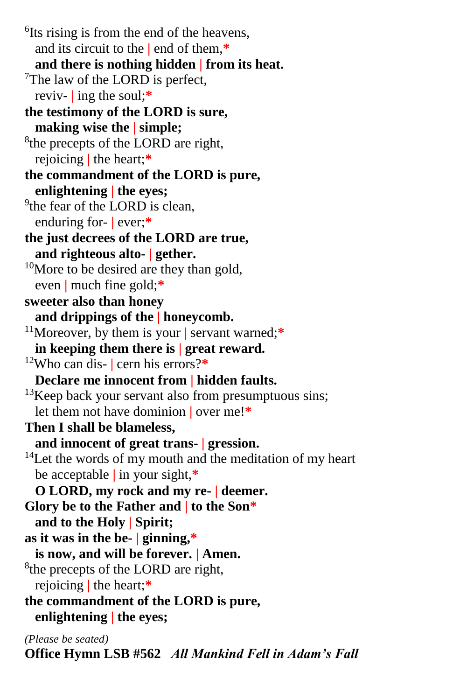<sup>6</sup>Its rising is from the end of the heavens, and its circuit to the **|** end of them,**\* and there is nothing hidden | from its heat.** <sup>7</sup>The law of the LORD is perfect, reviv- **|** ing the soul;**\* the testimony of the LORD is sure, making wise the | simple;** <sup>8</sup>the precepts of the LORD are right, rejoicing **|** the heart;**\* the commandment of the LORD is pure, enlightening | the eyes;** <sup>9</sup>the fear of the LORD is clean, enduring for- **|** ever;**\* the just decrees of the LORD are true, and righteous alto- | gether.**  $10$ More to be desired are they than gold, even **|** much fine gold;**\* sweeter also than honey and drippings of the | honeycomb.** <sup>11</sup>Moreover, by them is your **|** servant warned;**\* in keeping them there is | great reward.** <sup>12</sup>Who can dis- **|** cern his errors?**\* Declare me innocent from | hidden faults.**  $13$ Keep back your servant also from presumptuous sins; let them not have dominion **|** over me!**\* Then I shall be blameless, and innocent of great trans- | gression.**  $14$ Let the words of my mouth and the meditation of my heart be acceptable **|** in your sight,**\* O LORD, my rock and my re- | deemer. Glory be to the Father and | to the Son\* and to the Holy | Spirit; as it was in the be- | ginning,\* is now, and will be forever. | Amen.** <sup>8</sup>the precepts of the LORD are right, rejoicing **|** the heart;**\* the commandment of the LORD is pure, enlightening | the eyes;** *(Please be seated)*

**Office Hymn LSB #562** *All Mankind Fell in Adam's Fall*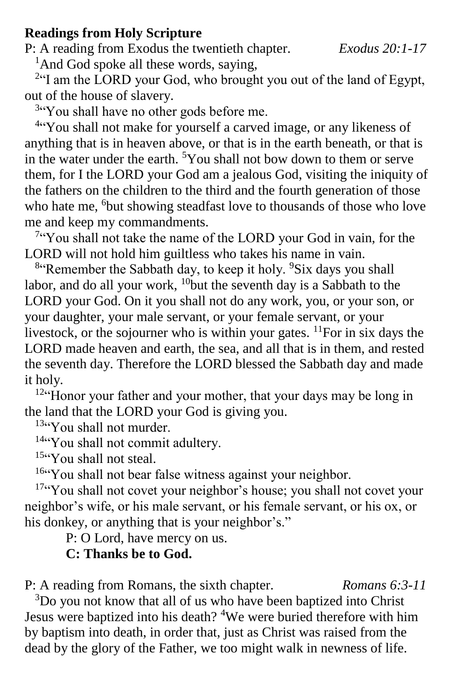### **Readings from Holy Scripture**

P: A reading from Exodus the twentieth chapter.*Exodus 20:1-17*

<sup>1</sup>And God spoke all these words, saying,

<sup>2</sup>"I am the LORD your God, who brought you out of the land of Egypt, out of the house of slavery.

<sup>3"</sup>You shall have no other gods before me.

<sup>4"</sup>You shall not make for yourself a carved image, or any likeness of anything that is in heaven above, or that is in the earth beneath, or that is in the water under the earth. <sup>5</sup>You shall not bow down to them or serve them, for I the LORD your God am a jealous God, visiting the iniquity of the fathers on the children to the third and the fourth generation of those who hate me, <sup>6</sup>but showing steadfast love to thousands of those who love me and keep my commandments.

<sup>7</sup>"You shall not take the name of the LORD your God in vain, for the LORD will not hold him guiltless who takes his name in vain.

<sup>8</sup> Remember the Sabbath day, to keep it holy. <sup>9</sup>Six days you shall labor, and do all your work,  $^{10}$ but the seventh day is a Sabbath to the LORD your God. On it you shall not do any work, you, or your son, or your daughter, your male servant, or your female servant, or your livestock, or the sojourner who is within your gates.  $^{11}$ For in six days the LORD made heaven and earth, the sea, and all that is in them, and rested the seventh day. Therefore the LORD blessed the Sabbath day and made it holy.

<sup>12"</sup>Honor your father and your mother, that your days may be long in the land that the LORD your God is giving you.

<sup>13"</sup>You shall not murder.

<sup>14"</sup>You shall not commit adultery.

 $15\degree$ You shall not steal.

<sup>16"</sup>You shall not bear false witness against your neighbor.

<sup>17"</sup>You shall not covet your neighbor's house; you shall not covet your neighbor's wife, or his male servant, or his female servant, or his ox, or his donkey, or anything that is your neighbor's."

P: O Lord, have mercy on us.

# **C: Thanks be to God.**

P: A reading from Romans, the sixth chapter. *Romans 6:3-11*

<sup>3</sup>Do you not know that all of us who have been baptized into Christ Jesus were baptized into his death? <sup>4</sup>We were buried therefore with him by baptism into death, in order that, just as Christ was raised from the dead by the glory of the Father, we too might walk in newness of life.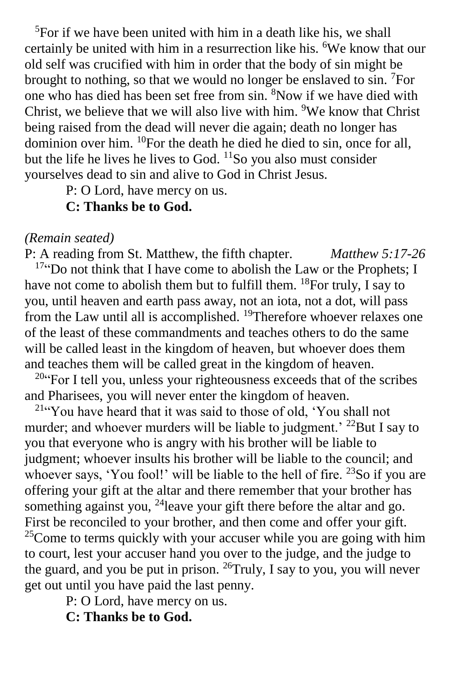${}^{5}$ For if we have been united with him in a death like his, we shall certainly be united with him in a resurrection like his. <sup>6</sup>We know that our old self was crucified with him in order that the body of sin might be brought to nothing, so that we would no longer be enslaved to  $sin$ . <sup>7</sup>For one who has died has been set free from sin. <sup>8</sup>Now if we have died with Christ, we believe that we will also live with him. <sup>9</sup>We know that Christ being raised from the dead will never die again; death no longer has dominion over him. <sup>10</sup>For the death he died he died to sin, once for all, but the life he lives he lives to God.  $\frac{11}{50}$  you also must consider yourselves dead to sin and alive to God in Christ Jesus.

P: O Lord, have mercy on us.

## **C: Thanks be to God.**

### *(Remain seated)*

P: A reading from St. Matthew, the fifth chapter. *Matthew 5:17-26* <sup>17</sup>"Do not think that I have come to abolish the Law or the Prophets; I have not come to abolish them but to fulfill them.  $^{18}$  For truly, I say to you, until heaven and earth pass away, not an iota, not a dot, will pass from the Law until all is accomplished. <sup>19</sup>Therefore whoever relaxes one of the least of these commandments and teaches others to do the same will be called least in the kingdom of heaven, but whoever does them and teaches them will be called great in the kingdom of heaven.

<sup>20"</sup>For I tell you, unless your righteousness exceeds that of the scribes and Pharisees, you will never enter the kingdom of heaven.

<sup>21</sup>"You have heard that it was said to those of old, 'You shall not murder; and whoever murders will be liable to judgment.<sup>' 22</sup>But I say to you that everyone who is angry with his brother will be liable to judgment; whoever insults his brother will be liable to the council; and whoever says, 'You fool!' will be liable to the hell of fire. <sup>23</sup>So if you are offering your gift at the altar and there remember that your brother has something against you, <sup>24</sup>leave your gift there before the altar and go. First be reconciled to your brother, and then come and offer your gift.  $25$ Come to terms quickly with your accuser while you are going with him to court, lest your accuser hand you over to the judge, and the judge to the guard, and you be put in prison. <sup>26</sup>Truly, I say to you, you will never get out until you have paid the last penny.

P: O Lord, have mercy on us.

**C: Thanks be to God.**